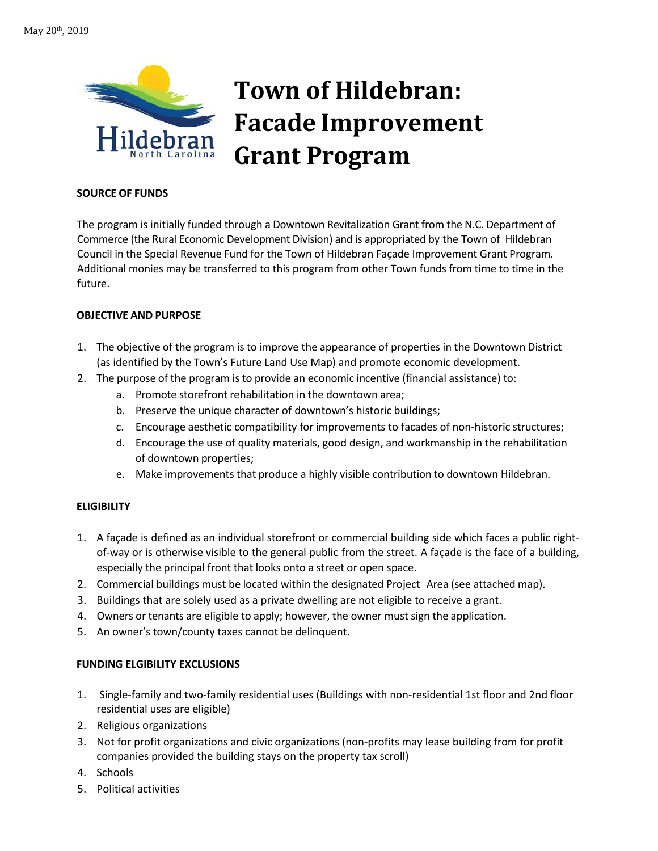

# **Town of Hildebran: Facade Improvement Grant Program**

### **SOURCE OF FUNDS**

The program is initially funded through a Downtown Revitalization Grant from the N.C. Department of Commerce (the Rural Economic Development Division) and is appropriated by the Town of Hildebran Council in the Special Revenue Fund for the Town of Hildebran Façade Improvement Grant Program. Additional monies may be transferred to this program from other Town funds from time to time in the future.

## **OBJECTIVE AND PURPOSE**

- 1. The objective of the program is to improve the appearance of properties in the Downtown District (as identified by the Town's Future Land Use Map) and promote economic development.
- 2. The purpose of the program is to provide an economic incentive (financial assistance) to:
	- a. Promote storefront rehabilitation in the downtown area;
	- b. Preserve the unique character of downtown's historic buildings;
	- c. Encourage aesthetic compatibility for improvements to facades of non‐historic structures;
	- d. Encourage the use of quality materials, good design, and workmanship in the rehabilitation of downtown properties;
	- e. Make improvements that produce a highly visible contribution to downtown Hildebran.

# **ELIGIBILITY**

- 1. A façade is defined as an individual storefront or commercial building side which faces a public rightof-way or is otherwise visible to the general public from the street. A façade is the face of a building, especially the principal front that looks onto a street or open space.
- 2. Commercial buildings must be located within the designated Project Area (see attached map).
- 3. Buildings that are solely used as a private dwelling are not eligible to receive a grant.
- 4. Owners or tenants are eligible to apply; however, the owner must sign the application.
- 5. An owner's town/county taxes cannot be delinquent.

# **FUNDING ELGIBILITY EXCLUSIONS**

- 1. Single-family and two-family residential uses (Buildings with non-residential 1st floor and 2nd floor residential uses are eligible)
- 2. Religious organizations
- 3. Not for profit organizations and civic organizations (non-profits may lease building from for profit companies provided the building stays on the property tax scroll)
- 4. Schools
- 5. Political activities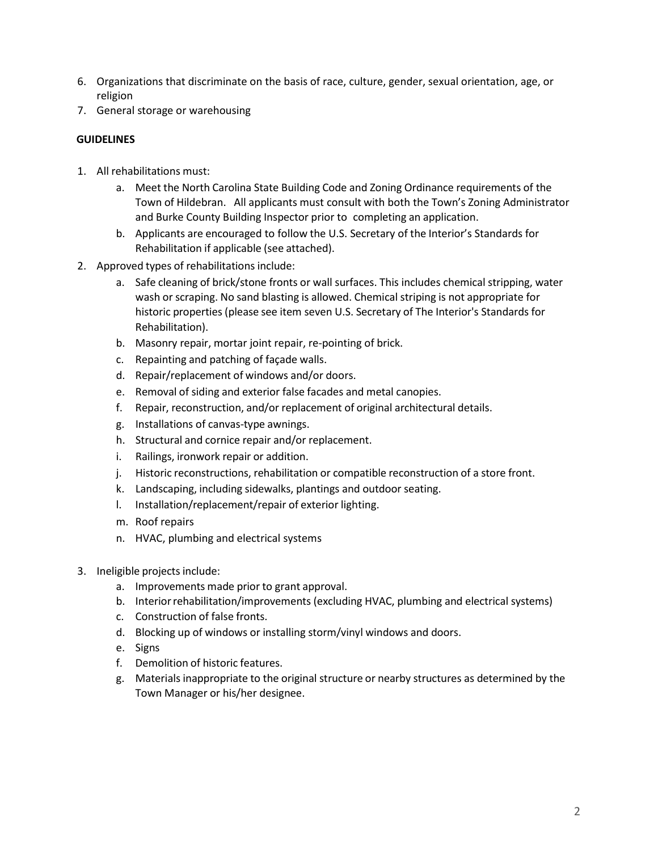- 6. Organizations that discriminate on the basis of race, culture, gender, sexual orientation, age, or religion
- 7. General storage or warehousing

# **GUIDELINES**

- 1. All rehabilitations must:
	- a. Meet the North Carolina State Building Code and Zoning Ordinance requirements of the Town of Hildebran. All applicants must consult with both the Town's Zoning Administrator and Burke County Building Inspector prior to completing an application.
	- b. Applicants are encouraged to follow the U.S. Secretary of the Interior's Standards for Rehabilitation if applicable (see attached).
- 2. Approved types of rehabilitations include:
	- a. Safe cleaning of brick/stone fronts or wall surfaces. This includes chemical stripping, water wash or scraping. No sand blasting is allowed. Chemical striping is not appropriate for historic properties (please see item seven U.S. Secretary of The Interior's Standards for Rehabilitation).
	- b. Masonry repair, mortar joint repair, re‐pointing of brick.
	- c. Repainting and patching of façade walls.
	- d. Repair/replacement of windows and/or doors.
	- e. Removal of siding and exterior false facades and metal canopies.
	- f. Repair, reconstruction, and/or replacement of original architectural details.
	- g. Installations of canvas‐type awnings.
	- h. Structural and cornice repair and/or replacement.
	- i. Railings, ironwork repair or addition.
	- j. Historic reconstructions, rehabilitation or compatible reconstruction of a store front.
	- k. Landscaping, including sidewalks, plantings and outdoor seating.
	- l. Installation/replacement/repair of exterior lighting.
	- m. Roof repairs
	- n. HVAC, plumbing and electrical systems
- 3. Ineligible projects include:
	- a. Improvements made prior to grant approval.
	- b. Interiorrehabilitation/improvements (excluding HVAC, plumbing and electrical systems)
	- c. Construction of false fronts.
	- d. Blocking up of windows or installing storm/vinyl windows and doors.
	- e. Signs
	- f. Demolition of historic features.
	- g. Materials inappropriate to the original structure or nearby structures as determined by the Town Manager or his/her designee.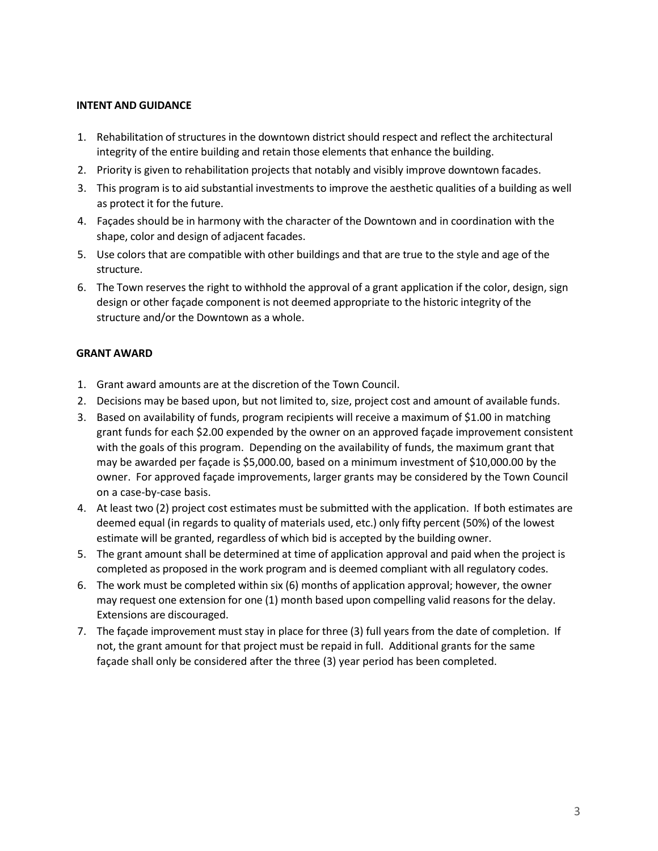#### **INTENT AND GUIDANCE**

- 1. Rehabilitation of structures in the downtown district should respect and reflect the architectural integrity of the entire building and retain those elements that enhance the building.
- 2. Priority is given to rehabilitation projects that notably and visibly improve downtown facades.
- 3. This program is to aid substantial investments to improve the aesthetic qualities of a building as well as protect it for the future.
- 4. Façades should be in harmony with the character of the Downtown and in coordination with the shape, color and design of adjacent facades.
- 5. Use colors that are compatible with other buildings and that are true to the style and age of the structure.
- 6. The Town reserves the right to withhold the approval of a grant application if the color, design, sign design or other façade component is not deemed appropriate to the historic integrity of the structure and/or the Downtown as a whole.

#### **GRANT AWARD**

- 1. Grant award amounts are at the discretion of the Town Council.
- 2. Decisions may be based upon, but not limited to, size, project cost and amount of available funds.
- 3. Based on availability of funds, program recipients will receive a maximum of \$1.00 in matching grant funds for each \$2.00 expended by the owner on an approved façade improvement consistent with the goals of this program. Depending on the availability of funds, the maximum grant that may be awarded per façade is \$5,000.00, based on a minimum investment of \$10,000.00 by the owner. For approved façade improvements, larger grants may be considered by the Town Council on a case-by-case basis.
- 4. At least two (2) project cost estimates must be submitted with the application. If both estimates are deemed equal (in regards to quality of materials used, etc.) only fifty percent (50%) of the lowest estimate will be granted, regardless of which bid is accepted by the building owner.
- 5. The grant amount shall be determined at time of application approval and paid when the project is completed as proposed in the work program and is deemed compliant with all regulatory codes.
- 6. The work must be completed within six (6) months of application approval; however, the owner may request one extension for one (1) month based upon compelling valid reasons for the delay. Extensions are discouraged.
- 7. The façade improvement must stay in place for three (3) full years from the date of completion. If not, the grant amount for that project must be repaid in full. Additional grants for the same façade shall only be considered after the three (3) year period has been completed.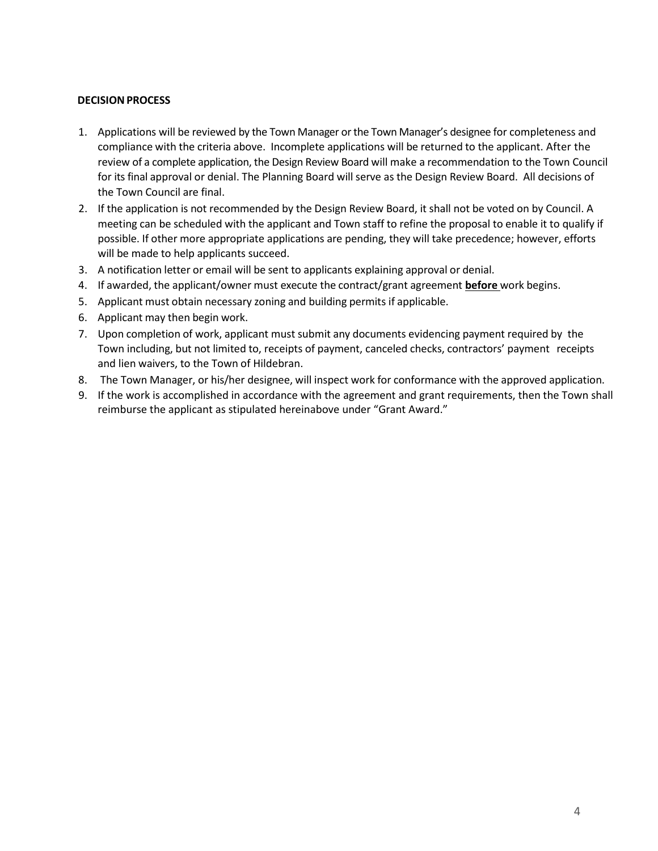## **DECISIONPROCESS**

- 1. Applications will be reviewed by the Town Manager or the Town Manager's designee for completeness and compliance with the criteria above. Incomplete applications will be returned to the applicant. After the review of a complete application, the Design Review Board will make a recommendation to the Town Council for its final approval or denial. The Planning Board will serve as the Design Review Board. All decisions of the Town Council are final.
- 2. If the application is not recommended by the Design Review Board, it shall not be voted on by Council. A meeting can be scheduled with the applicant and Town staff to refine the proposal to enable it to qualify if possible. If other more appropriate applications are pending, they will take precedence; however, efforts will be made to help applicants succeed.
- 3. A notification letter or email will be sent to applicants explaining approval or denial.
- 4. If awarded, the applicant/owner must execute the contract/grant agreement **before** work begins.
- 5. Applicant must obtain necessary zoning and building permits if applicable.
- 6. Applicant may then begin work.
- 7. Upon completion of work, applicant must submit any documents evidencing payment required by the Town including, but not limited to, receipts of payment, canceled checks, contractors' payment receipts and lien waivers, to the Town of Hildebran.
- 8. The Town Manager, or his/her designee, will inspect work for conformance with the approved application.
- 9. If the work is accomplished in accordance with the agreement and grant requirements, then the Town shall reimburse the applicant as stipulated hereinabove under "Grant Award."